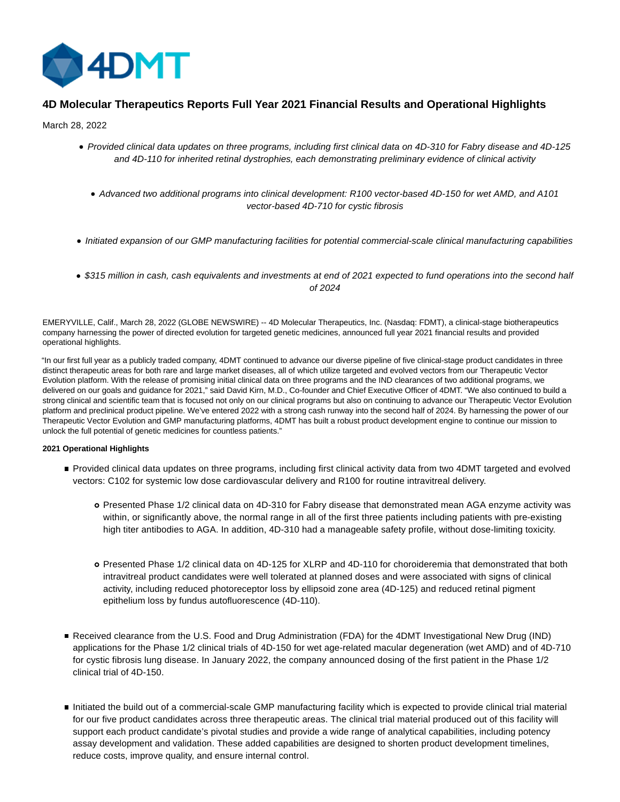

# **4D Molecular Therapeutics Reports Full Year 2021 Financial Results and Operational Highlights**

March 28, 2022

- Provided clinical data updates on three programs, including first clinical data on 4D-310 for Fabry disease and 4D-125 and 4D-110 for inherited retinal dystrophies, each demonstrating preliminary evidence of clinical activity
	- Advanced two additional programs into clinical development: R100 vector-based 4D-150 for wet AMD, and A101 vector-based 4D-710 for cystic fibrosis
- Initiated expansion of our GMP manufacturing facilities for potential commercial-scale clinical manufacturing capabilities
- \$315 million in cash, cash equivalents and investments at end of 2021 expected to fund operations into the second half of 2024

EMERYVILLE, Calif., March 28, 2022 (GLOBE NEWSWIRE) -- 4D Molecular Therapeutics, Inc. (Nasdaq: FDMT), a clinical-stage biotherapeutics company harnessing the power of directed evolution for targeted genetic medicines, announced full year 2021 financial results and provided operational highlights.

"In our first full year as a publicly traded company, 4DMT continued to advance our diverse pipeline of five clinical-stage product candidates in three distinct therapeutic areas for both rare and large market diseases, all of which utilize targeted and evolved vectors from our Therapeutic Vector Evolution platform. With the release of promising initial clinical data on three programs and the IND clearances of two additional programs, we delivered on our goals and guidance for 2021," said David Kirn, M.D., Co-founder and Chief Executive Officer of 4DMT. "We also continued to build a strong clinical and scientific team that is focused not only on our clinical programs but also on continuing to advance our Therapeutic Vector Evolution platform and preclinical product pipeline. We've entered 2022 with a strong cash runway into the second half of 2024. By harnessing the power of our Therapeutic Vector Evolution and GMP manufacturing platforms, 4DMT has built a robust product development engine to continue our mission to unlock the full potential of genetic medicines for countless patients."

## **2021 Operational Highlights**

- Provided clinical data updates on three programs, including first clinical activity data from two 4DMT targeted and evolved vectors: C102 for systemic low dose cardiovascular delivery and R100 for routine intravitreal delivery.
	- Presented Phase 1/2 clinical data on 4D-310 for Fabry disease that demonstrated mean AGA enzyme activity was within, or significantly above, the normal range in all of the first three patients including patients with pre-existing high titer antibodies to AGA. In addition, 4D-310 had a manageable safety profile, without dose-limiting toxicity.
	- Presented Phase 1/2 clinical data on 4D-125 for XLRP and 4D-110 for choroideremia that demonstrated that both intravitreal product candidates were well tolerated at planned doses and were associated with signs of clinical activity, including reduced photoreceptor loss by ellipsoid zone area (4D-125) and reduced retinal pigment epithelium loss by fundus autofluorescence (4D-110).
- Received clearance from the U.S. Food and Drug Administration (FDA) for the 4DMT Investigational New Drug (IND) applications for the Phase 1/2 clinical trials of 4D-150 for wet age-related macular degeneration (wet AMD) and of 4D-710 for cystic fibrosis lung disease. In January 2022, the company announced dosing of the first patient in the Phase 1/2 clinical trial of 4D-150.
- Initiated the build out of a commercial-scale GMP manufacturing facility which is expected to provide clinical trial material for our five product candidates across three therapeutic areas. The clinical trial material produced out of this facility will support each product candidate's pivotal studies and provide a wide range of analytical capabilities, including potency assay development and validation. These added capabilities are designed to shorten product development timelines, reduce costs, improve quality, and ensure internal control.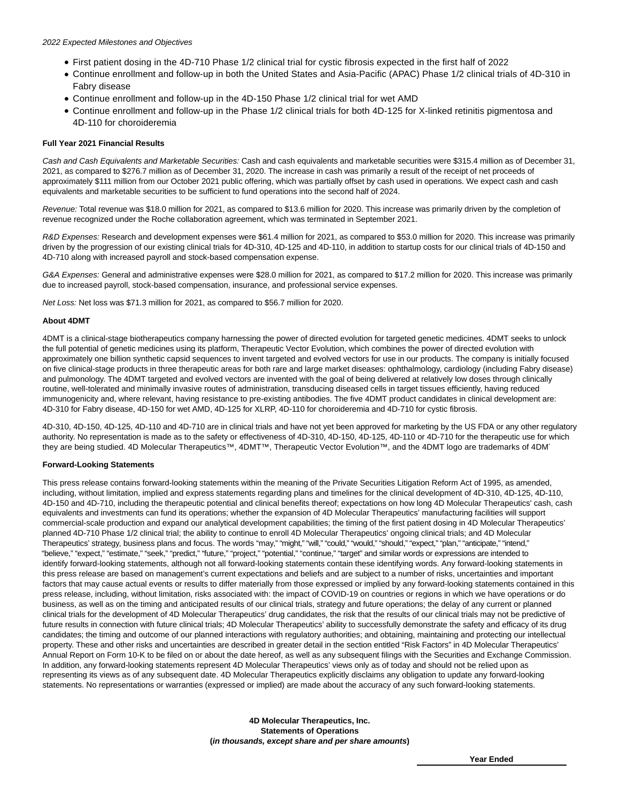- First patient dosing in the 4D-710 Phase 1/2 clinical trial for cystic fibrosis expected in the first half of 2022
- Continue enrollment and follow-up in both the United States and Asia-Pacific (APAC) Phase 1/2 clinical trials of 4D-310 in Fabry disease
- Continue enrollment and follow-up in the 4D-150 Phase 1/2 clinical trial for wet AMD
- Continue enrollment and follow-up in the Phase 1/2 clinical trials for both 4D-125 for X-linked retinitis pigmentosa and 4D-110 for choroideremia

## **Full Year 2021 Financial Results**

Cash and Cash Equivalents and Marketable Securities: Cash and cash equivalents and marketable securities were \$315.4 million as of December 31, 2021, as compared to \$276.7 million as of December 31, 2020. The increase in cash was primarily a result of the receipt of net proceeds of approximately \$111 million from our October 2021 public offering, which was partially offset by cash used in operations. We expect cash and cash equivalents and marketable securities to be sufficient to fund operations into the second half of 2024.

Revenue: Total revenue was \$18.0 million for 2021, as compared to \$13.6 million for 2020. This increase was primarily driven by the completion of revenue recognized under the Roche collaboration agreement, which was terminated in September 2021.

R&D Expenses: Research and development expenses were \$61.4 million for 2021, as compared to \$53.0 million for 2020. This increase was primarily driven by the progression of our existing clinical trials for 4D-310, 4D-125 and 4D-110, in addition to startup costs for our clinical trials of 4D-150 and 4D-710 along with increased payroll and stock-based compensation expense.

G&A Expenses: General and administrative expenses were \$28.0 million for 2021, as compared to \$17.2 million for 2020. This increase was primarily due to increased payroll, stock-based compensation, insurance, and professional service expenses.

Net Loss: Net loss was \$71.3 million for 2021, as compared to \$56.7 million for 2020.

### **About 4DMT**

4DMT is a clinical-stage biotherapeutics company harnessing the power of directed evolution for targeted genetic medicines. 4DMT seeks to unlock the full potential of genetic medicines using its platform, Therapeutic Vector Evolution, which combines the power of directed evolution with approximately one billion synthetic capsid sequences to invent targeted and evolved vectors for use in our products. The company is initially focused on five clinical-stage products in three therapeutic areas for both rare and large market diseases: ophthalmology, cardiology (including Fabry disease) and pulmonology. The 4DMT targeted and evolved vectors are invented with the goal of being delivered at relatively low doses through clinically routine, well-tolerated and minimally invasive routes of administration, transducing diseased cells in target tissues efficiently, having reduced immunogenicity and, where relevant, having resistance to pre-existing antibodies. The five 4DMT product candidates in clinical development are: 4D-310 for Fabry disease, 4D-150 for wet AMD, 4D-125 for XLRP, 4D-110 for choroideremia and 4D-710 for cystic fibrosis.

4D-310, 4D-150, 4D-125, 4D-110 and 4D-710 are in clinical trials and have not yet been approved for marketing by the US FDA or any other regulatory authority. No representation is made as to the safety or effectiveness of 4D-310, 4D-150, 4D-125, 4D-110 or 4D-710 for the therapeutic use for which they are being studied. 4D Molecular Therapeutics™, 4DMT™, Therapeutic Vector Evolution™, and the 4DMT logo are trademarks of 4DMT.

#### **Forward-Looking Statements**

This press release contains forward-looking statements within the meaning of the Private Securities Litigation Reform Act of 1995, as amended, including, without limitation, implied and express statements regarding plans and timelines for the clinical development of 4D-310, 4D-125, 4D-110, 4D-150 and 4D-710, including the therapeutic potential and clinical benefits thereof; expectations on how long 4D Molecular Therapeutics' cash, cash equivalents and investments can fund its operations; whether the expansion of 4D Molecular Therapeutics' manufacturing facilities will support commercial-scale production and expand our analytical development capabilities; the timing of the first patient dosing in 4D Molecular Therapeutics' planned 4D-710 Phase 1/2 clinical trial; the ability to continue to enroll 4D Molecular Therapeutics' ongoing clinical trials; and 4D Molecular Therapeutics' strategy, business plans and focus. The words "may," "might," "will," "could," "would," "should," "expect," "plan," "anticipate," "intend," "believe," "expect," "estimate," "seek," "predict," "future," "project," "potential," "continue," "target" and similar words or expressions are intended to identify forward-looking statements, although not all forward-looking statements contain these identifying words. Any forward-looking statements in this press release are based on management's current expectations and beliefs and are subject to a number of risks, uncertainties and important factors that may cause actual events or results to differ materially from those expressed or implied by any forward-looking statements contained in this press release, including, without limitation, risks associated with: the impact of COVID-19 on countries or regions in which we have operations or do business, as well as on the timing and anticipated results of our clinical trials, strategy and future operations; the delay of any current or planned clinical trials for the development of 4D Molecular Therapeutics' drug candidates, the risk that the results of our clinical trials may not be predictive of future results in connection with future clinical trials; 4D Molecular Therapeutics' ability to successfully demonstrate the safety and efficacy of its drug candidates; the timing and outcome of our planned interactions with regulatory authorities; and obtaining, maintaining and protecting our intellectual property. These and other risks and uncertainties are described in greater detail in the section entitled "Risk Factors" in 4D Molecular Therapeutics' Annual Report on Form 10-K to be filed on or about the date hereof, as well as any subsequent filings with the Securities and Exchange Commission. In addition, any forward-looking statements represent 4D Molecular Therapeutics' views only as of today and should not be relied upon as representing its views as of any subsequent date. 4D Molecular Therapeutics explicitly disclaims any obligation to update any forward-looking statements. No representations or warranties (expressed or implied) are made about the accuracy of any such forward-looking statements.

> **4D Molecular Therapeutics, Inc. Statements of Operations (in thousands, except share and per share amounts)**